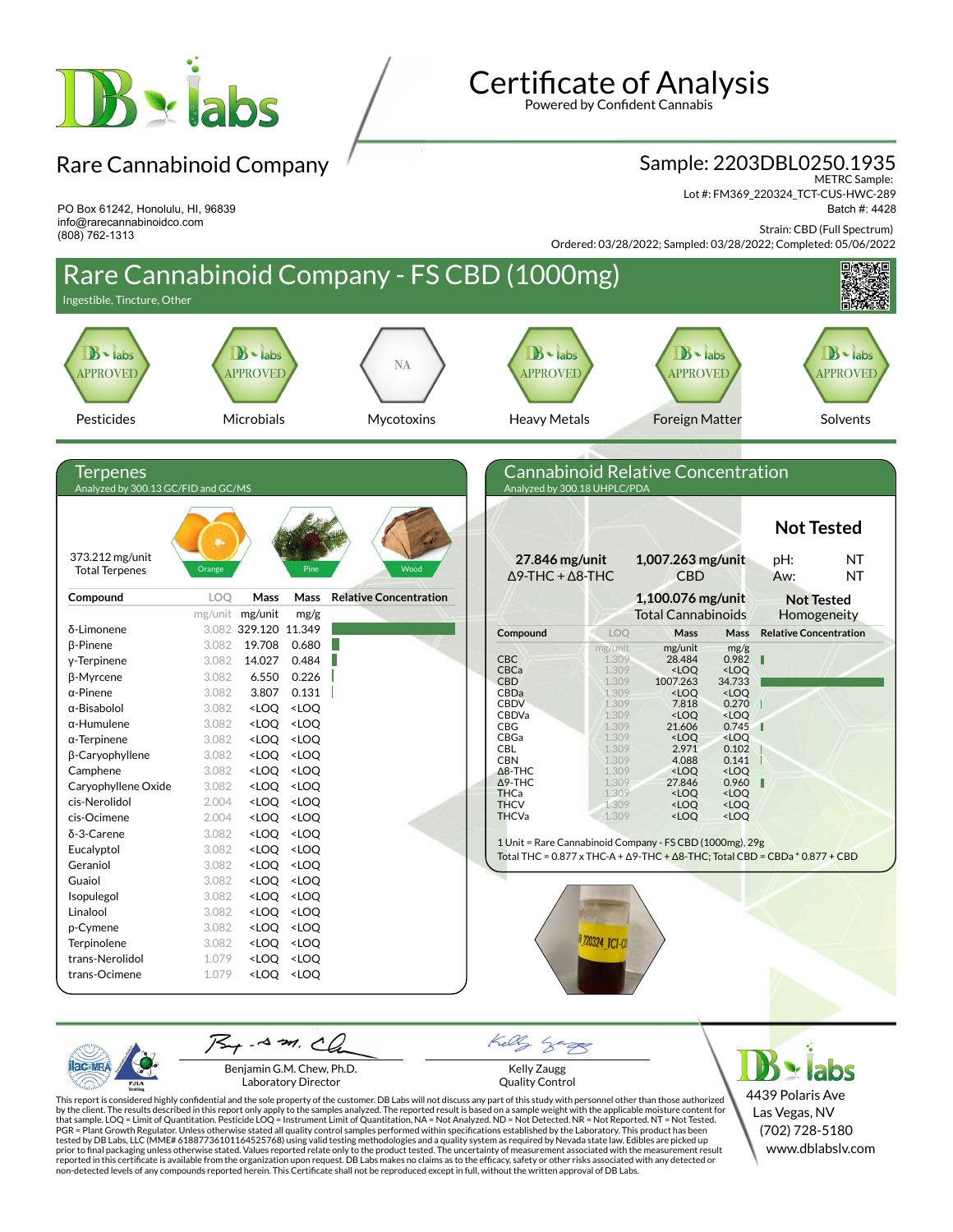

PO Box 61242, Honolulu, HI, 96839 info@rarecannabinoidco.com

(808) 762-1313

Rare Cannabinoid Company

# **Certificate of Analysis**

Powered by Confident Cannabis

#### Sample: 2203DBL0250.1935

METRC Sample: Lot #: FM369\_220324\_TCT-CUS-HWC-289 Batch #: 4428

Strain: CBD (Full Spectrum)

Ordered: 03/28/2022; Sampled: 03/28/2022; Completed: 05/06/2022



Benjamin G.M. Chew, Ph.D. Laboratory Director

PJL/

Kelly Zaugg Quality Control

4439 Polaris Ave Las Vegas, NV (702) 728-5180 www.dblabslv.com

This report is considered highly confidential and the sole property of the customer. DB Labs will not discuss any part of this study with personnel other than those authorized<br>by the client. The results described in this PGR = Plant Growth Regulator. Unless otherwise stated all quality control samples performed within specifications established by the Laboratory. This product has been tested by DB Labs, LLC (MME# 61887736101164525768) using valid testing methodologies and a quality system as required by Nevada state law. Edibles are picked up<br>prior to final packaging unless otherwise stated. Values repo reported in this certificate is available from the organization upon request. DB Labs makes no claims as to the efficacy, safety or other risks associated with any detected or<br>non-detected levels of any compounds reported